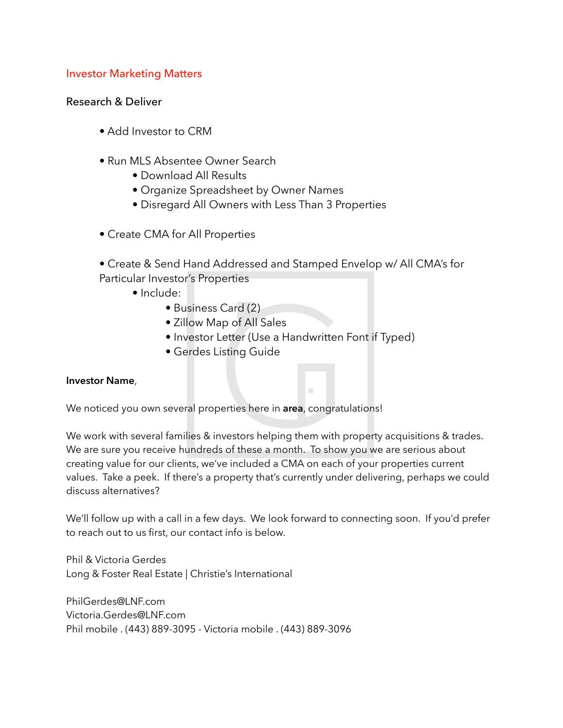## Investor Marketing Matters

### Research & Deliver

- Add Investor to CRM
- Run MLS Absentee Owner Search
	- Download All Results
	- Organize Spreadsheet by Owner Names
	- Disregard All Owners with Less Than 3 Properties
- Create CMA for All Properties
- Create & Send Hand Addressed and Stamped Envelop w/ All CMA's for Particular Investor's Properties
	- Include:
		- Business Card (2)
		- Zillow Map of All Sales
		- Investor Letter (Use a Handwritten Font if Typed)
		- Gerdes Listing Guide

#### **Investor Name**,

We noticed you own several properties here in **area**, congratulations!

We work with several families & investors helping them with property acquisitions & trades. We are sure you receive hundreds of these a month. To show you we are serious about creating value for our clients, we've included a CMA on each of your properties current values. Take a peek. If there's a property that's currently under delivering, perhaps we could discuss alternatives?

We'll follow up with a call in a few days. We look forward to connecting soon. If you'd prefer to reach out to us first, our contact info is below.

Phil & Victoria Gerdes Long & Foster Real Estate | Christie's International

PhilGerdes@LNF.com Victoria.Gerdes@LNF.com Phil mobile . (443) 889-3095 - Victoria mobile . (443) 889-3096